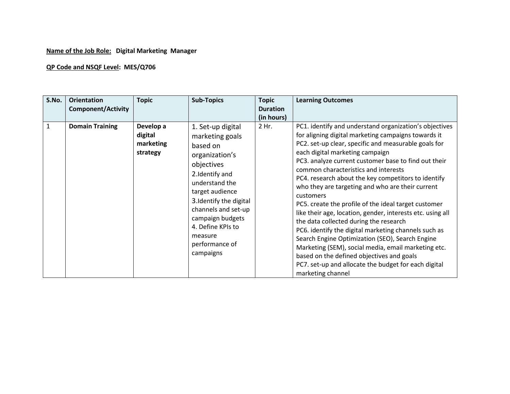## **Name of the Job Role: Digital Marketing Manager**

## **QP Code and NSQF Level: MES/Q706**

| S.No.        | <b>Orientation</b><br><b>Component/Activity</b> | <b>Topic</b>                                  | <b>Sub-Topics</b>                                                                                                                                                                                                                                                            | <b>Topic</b><br><b>Duration</b><br>(in hours) | <b>Learning Outcomes</b>                                                                                                                                                                                                                                                                                                                                                                                                                                                                                                                                                                                                                                                                                                                                                                                                                                                                     |
|--------------|-------------------------------------------------|-----------------------------------------------|------------------------------------------------------------------------------------------------------------------------------------------------------------------------------------------------------------------------------------------------------------------------------|-----------------------------------------------|----------------------------------------------------------------------------------------------------------------------------------------------------------------------------------------------------------------------------------------------------------------------------------------------------------------------------------------------------------------------------------------------------------------------------------------------------------------------------------------------------------------------------------------------------------------------------------------------------------------------------------------------------------------------------------------------------------------------------------------------------------------------------------------------------------------------------------------------------------------------------------------------|
| $\mathbf{1}$ | <b>Domain Training</b>                          | Develop a<br>digital<br>marketing<br>strategy | 1. Set-up digital<br>marketing goals<br>based on<br>organization's<br>objectives<br>2.Identify and<br>understand the<br>target audience<br>3. Identify the digital<br>channels and set-up<br>campaign budgets<br>4. Define KPIs to<br>measure<br>performance of<br>campaigns | 2 Hr.                                         | PC1. identify and understand organization's objectives<br>for aligning digital marketing campaigns towards it<br>PC2. set-up clear, specific and measurable goals for<br>each digital marketing campaign<br>PC3. analyze current customer base to find out their<br>common characteristics and interests<br>PC4. research about the key competitors to identify<br>who they are targeting and who are their current<br>customers<br>PC5. create the profile of the ideal target customer<br>like their age, location, gender, interests etc. using all<br>the data collected during the research<br>PC6. identify the digital marketing channels such as<br>Search Engine Optimization (SEO), Search Engine<br>Marketing (SEM), social media, email marketing etc.<br>based on the defined objectives and goals<br>PC7. set-up and allocate the budget for each digital<br>marketing channel |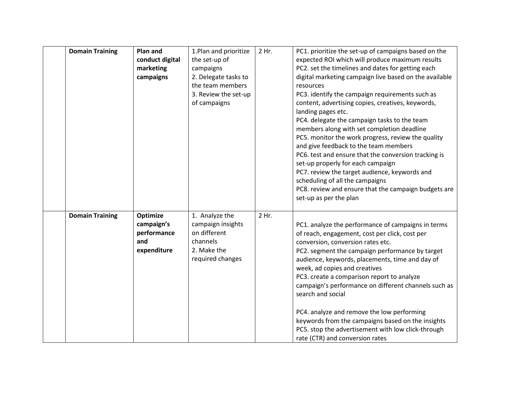| <b>Domain Training</b> | Plan and<br>conduct digital<br>marketing<br>campaigns       | 1. Plan and prioritize<br>the set-up of<br>campaigns<br>2. Delegate tasks to<br>the team members<br>3. Review the set-up<br>of campaigns | 2 Hr. | PC1. prioritize the set-up of campaigns based on the<br>expected ROI which will produce maximum results<br>PC2. set the timelines and dates for getting each<br>digital marketing campaign live based on the available<br>resources<br>PC3. identify the campaign requirements such as<br>content, advertising copies, creatives, keywords,<br>landing pages etc.<br>PC4. delegate the campaign tasks to the team<br>members along with set completion deadline<br>PC5. monitor the work progress, review the quality<br>and give feedback to the team members<br>PC6. test and ensure that the conversion tracking is<br>set-up properly for each campaign<br>PC7. review the target audience, keywords and<br>scheduling of all the campaigns<br>PC8. review and ensure that the campaign budgets are<br>set-up as per the plan |
|------------------------|-------------------------------------------------------------|------------------------------------------------------------------------------------------------------------------------------------------|-------|-----------------------------------------------------------------------------------------------------------------------------------------------------------------------------------------------------------------------------------------------------------------------------------------------------------------------------------------------------------------------------------------------------------------------------------------------------------------------------------------------------------------------------------------------------------------------------------------------------------------------------------------------------------------------------------------------------------------------------------------------------------------------------------------------------------------------------------|
| <b>Domain Training</b> | Optimize<br>campaign's<br>performance<br>and<br>expenditure | 1. Analyze the<br>campaign insights<br>on different<br>channels<br>2. Make the<br>required changes                                       | 2 Hr. | PC1. analyze the performance of campaigns in terms<br>of reach, engagement, cost per click, cost per<br>conversion, conversion rates etc.<br>PC2. segment the campaign performance by target<br>audience, keywords, placements, time and day of<br>week, ad copies and creatives<br>PC3. create a comparison report to analyze<br>campaign's performance on different channels such as<br>search and social<br>PC4. analyze and remove the low performing<br>keywords from the campaigns based on the insights<br>PC5. stop the advertisement with low click-through<br>rate (CTR) and conversion rates                                                                                                                                                                                                                           |